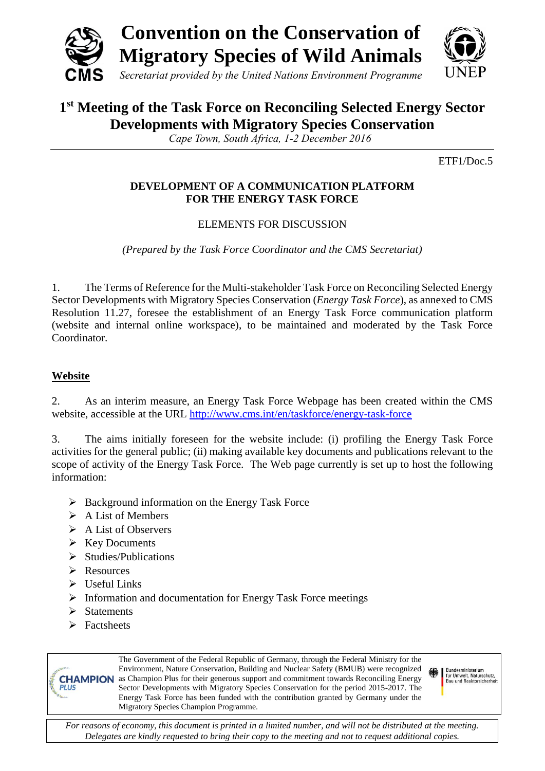



# **1 st Meeting of the Task Force on Reconciling Selected Energy Sector Developments with Migratory Species Conservation**

*Cape Town, South Africa, 1-2 December 2016*

ETF1/Doc.5

### **DEVELOPMENT OF A COMMUNICATION PLATFORM FOR THE ENERGY TASK FORCE**

## ELEMENTS FOR DISCUSSION

*(Prepared by the Task Force Coordinator and the CMS Secretariat)*

1. The Terms of Reference for the Multi-stakeholder Task Force on Reconciling Selected Energy Sector Developments with Migratory Species Conservation (*Energy Task Force*), as annexed to CMS Resolution 11.27, foresee the establishment of an Energy Task Force communication platform (website and internal online workspace), to be maintained and moderated by the Task Force Coordinator.

### **Website**

2. As an interim measure, an Energy Task Force Webpage has been created within the CMS website, accessible at the URL <http://www.cms.int/en/taskforce/energy-task-force>

3. The aims initially foreseen for the website include: (i) profiling the Energy Task Force activities for the general public; (ii) making available key documents and publications relevant to the scope of activity of the Energy Task Force. The Web page currently is set up to host the following information:

- $\triangleright$  Background information on the Energy Task Force
- $\triangleright$  A List of Members
- $\triangleright$  A List of Observers
- $\triangleright$  Key Documents
- $\triangleright$  Studies/Publications
- **E** Resources
- $\triangleright$  Useful Links
- $\triangleright$  Information and documentation for Energy Task Force meetings
- $\triangleright$  Statements
- $\triangleright$  Factsheets

**PLUS** 

The Government of the Federal Republic of Germany, through the Federal Ministry for the Environment, Nature Conservation, Building and Nuclear Safety (BMUB) were recognized **CHAMPION** as Champion Plus for their generous support and commitment towards Reconciling Energy Sector Developments with Migratory Species Conservation for the period 2015-2017. The Energy Task Force has been funded with the contribution granted by Germany under the Migratory Species Champion Programme.

Bundesministerium<br>für Umwelt, Naturschutz,<br>Bau und Reaktorsicherheit

*For reasons of economy, this document is printed in a limited number, and will not be distributed at the meeting. Delegates are kindly requested to bring their copy to the meeting and not to request additional copies.*